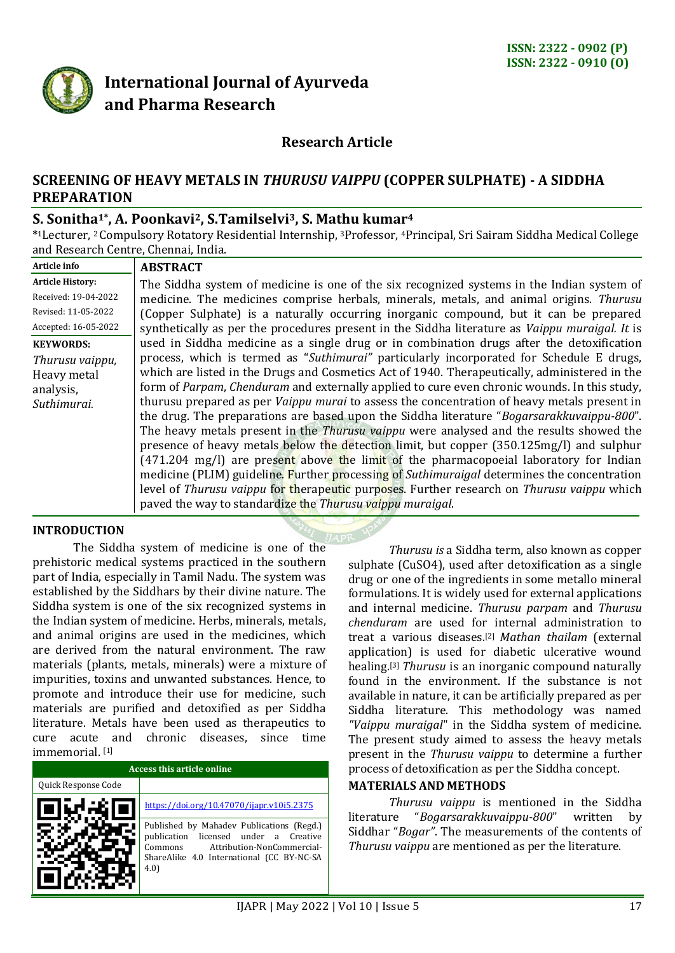

# **International Journal of Ayurveda and Pharma Research**

## **Research Article**

## **SCREENING OF HEAVY METALS IN** *THURUSU VAIPPU* **(COPPER SULPHATE) - A SIDDHA PREPARATION**

## **S. Sonitha1\*, A. Poonkavi2, S.Tamilselvi3, S. Mathu kumar<sup>4</sup>**

\* <sup>1</sup>Lecturer, 2 Compulsory Rotatory Residential Internship, <sup>3</sup>Professor, 4Principal, Sri Sairam Siddha Medical College and Research Centre, Chennai, India.

| Article info                                                                   | <b>ABSTRACT</b>                                                                                                                                                                                                                                                                                                                                                                                                                                                                                                                                                                                                                                                                                                                                                                         |
|--------------------------------------------------------------------------------|-----------------------------------------------------------------------------------------------------------------------------------------------------------------------------------------------------------------------------------------------------------------------------------------------------------------------------------------------------------------------------------------------------------------------------------------------------------------------------------------------------------------------------------------------------------------------------------------------------------------------------------------------------------------------------------------------------------------------------------------------------------------------------------------|
| <b>Article History:</b>                                                        | The Siddha system of medicine is one of the six recognized systems in the Indian system of                                                                                                                                                                                                                                                                                                                                                                                                                                                                                                                                                                                                                                                                                              |
| Received: 19-04-2022                                                           | medicine. The medicines comprise herbals, minerals, metals, and animal origins. Thurusu                                                                                                                                                                                                                                                                                                                                                                                                                                                                                                                                                                                                                                                                                                 |
| Revised: 11-05-2022                                                            | (Copper Sulphate) is a naturally occurring inorganic compound, but it can be prepared                                                                                                                                                                                                                                                                                                                                                                                                                                                                                                                                                                                                                                                                                                   |
| Accepted: 16-05-2022                                                           | synthetically as per the procedures present in the Siddha literature as Vaippu muraigal. It is                                                                                                                                                                                                                                                                                                                                                                                                                                                                                                                                                                                                                                                                                          |
| <b>KEYWORDS:</b><br>Thurusu vaippu,<br>Heavy metal<br>analysis,<br>Suthimurai. | used in Siddha medicine as a single drug or in combination drugs after the detoxification<br>process, which is termed as "Suthimurai" particularly incorporated for Schedule E drugs,<br>which are listed in the Drugs and Cosmetics Act of 1940. Therapeutically, administered in the<br>form of Parpam, Chenduram and externally applied to cure even chronic wounds. In this study,<br>thurusu prepared as per <i>Vaippu murai</i> to assess the concentration of heavy metals present in<br>the drug. The preparations are based upon the Siddha literature "Bogarsarakkuvaippu-800".<br>The heavy metals present in the <i>Thurusu vaippu</i> were analysed and the results showed the<br>presence of heavy metals below the detection limit, but copper (350.125mg/l) and sulphur |
|                                                                                | $(471.204 \text{ mg/l})$ are present above the limit of the pharmacopoeial laboratory for Indian<br>medicine (PLIM) guideline. Further processing of Suthimuraigal determines the concentration<br>level of Thurusu vaippu for therapeutic purposes. Further research on Thurusu vaippu which<br>paved the way to standardize the Thurusu vaippu muraigal.                                                                                                                                                                                                                                                                                                                                                                                                                              |

#### **INTRODUCTION**

The Siddha system of medicine is one of the prehistoric medical systems practiced in the southern part of India, especially in Tamil Nadu. The system was established by the Siddhars by their divine nature. The Siddha system is one of the six recognized systems in the Indian system of medicine. Herbs, minerals, metals, and animal origins are used in the medicines, which are derived from the natural environment. The raw materials (plants, metals, minerals) were a mixture of impurities, toxins and unwanted substances. Hence, to promote and introduce their use for medicine, such materials are purified and detoxified as per Siddha literature. Metals have been used as therapeutics to cure acute and chronic diseases, since time immemorial. [1]

| Access this article online |                                                                                                                                                                                    |  |  |
|----------------------------|------------------------------------------------------------------------------------------------------------------------------------------------------------------------------------|--|--|
| Quick Response Code        |                                                                                                                                                                                    |  |  |
|                            | https://doi.org/10.47070/ijapr.v10i5.2375                                                                                                                                          |  |  |
|                            | Published by Mahadev Publications (Regd.)<br>licensed under a Creative<br>publication<br>Attribution-NonCommercial-<br>Commons<br>ShareAlike 4.0 International (CC BY-NC-SA<br>4.0 |  |  |

*Thurusu is* a Siddha term, also known as copper sulphate (CuSO4), used after detoxification as a single drug or one of the ingredients in some metallo mineral formulations. It is widely used for external applications and internal medicine. *Thurusu parpam* and *Thurusu chenduram* are used for internal administration to treat a various diseases.[2] *Mathan thailam* (external application) is used for diabetic ulcerative wound healing.[3] *Thurusu* is an inorganic compound naturally found in the environment. If the substance is not available in nature, it can be artificially prepared as per Siddha literature. This methodology was named *"Vaippu muraigal*" in the Siddha system of medicine. The present study aimed to assess the heavy metals present in the *Thurusu vaippu* to determine a further process of detoxification as per the Siddha concept.

#### **MATERIALS AND METHODS**

*Thurusu vaippu* is mentioned in the Siddha literature "*Bogarsarakkuvaippu-800*" written by Siddhar "*Bogar"*. The measurements of the contents of *Thurusu vaippu* are mentioned as per the literature.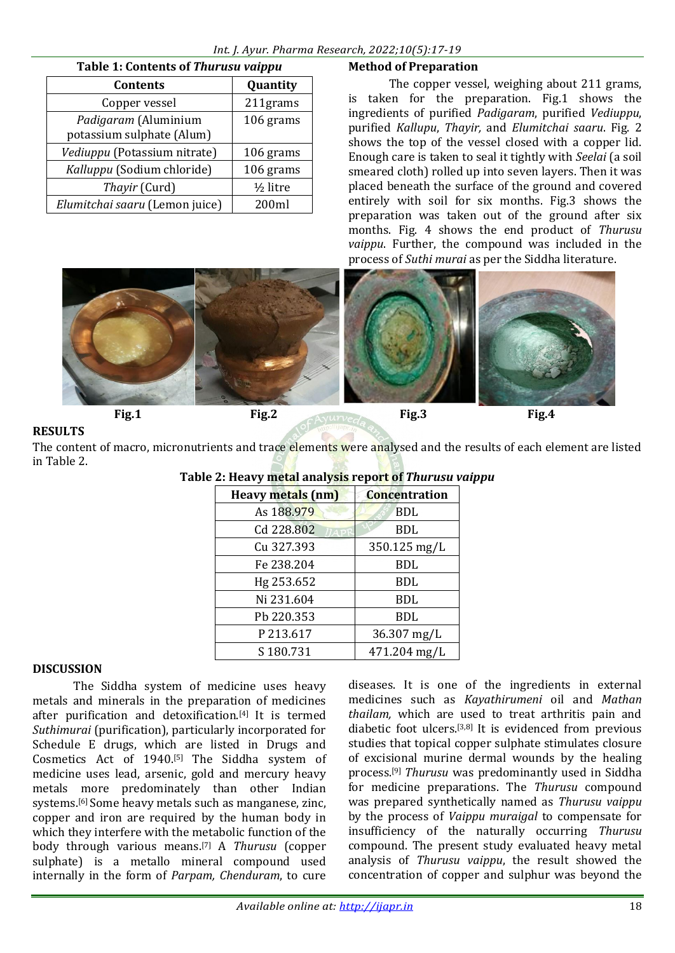| Table 1: Contents of Thurusu vaippu               |                       |  |  |
|---------------------------------------------------|-----------------------|--|--|
| <b>Contents</b>                                   | Quantity              |  |  |
| Copper vessel                                     | 211grams              |  |  |
| Padigaram (Aluminium<br>potassium sulphate (Alum) | 106 grams             |  |  |
| Vediuppu (Potassium nitrate)                      | 106 grams             |  |  |
| Kalluppu (Sodium chloride)                        | 106 grams             |  |  |
| Thayir (Curd)                                     | 1/ <sub>2</sub> litre |  |  |
| Elumitchai saaru (Lemon juice)                    | 200ml                 |  |  |

## **Method of Preparation**

The copper vessel, weighing about 211 grams, is taken for the preparation. Fig.1 shows the ingredients of purified *Padigaram*, purified *Vediuppu*, purified *Kallupu*, *Thayir,* and *Elumitchai saaru*. Fig. 2 shows the top of the vessel closed with a copper lid. Enough care is taken to seal it tightly with *Seelai* (a soil smeared cloth) rolled up into seven layers. Then it was placed beneath the surface of the ground and covered entirely with soil for six months. Fig.3 shows the preparation was taken out of the ground after six months. Fig. 4 shows the end product of *Thurusu vaippu*. Further, the compound was included in the process of *Suthi murai* as per the Siddha literature.



## **RESULTS**

The content of macro, micronutrients and trace elements were analysed and the results of each element are listed in Table 2.

| <b>Heavy metals (nm)</b> | <b>Concentration</b> |  |  |
|--------------------------|----------------------|--|--|
| As 188.979               | BDL                  |  |  |
| Cd 228.802               | BDL                  |  |  |
| Cu 327.393               | 350.125 mg/L         |  |  |
| Fe 238.204               | <b>BDL</b>           |  |  |
| Hg 253.652               | BDL                  |  |  |
| Ni 231.604               | BDL                  |  |  |
| Pb 220.353               | BDL                  |  |  |
| P213.617                 | $36.307$ mg/L        |  |  |
| S180.731                 | 471.204 mg/L         |  |  |

# **Table 2: Heavy metal analysis report of** *Thurusu vaippu*

#### **DISCUSSION**

The Siddha system of medicine uses heavy metals and minerals in the preparation of medicines after purification and detoxification.[4] It is termed *Suthimurai* (purification), particularly incorporated for Schedule E drugs, which are listed in Drugs and Cosmetics Act of 1940.[5] The Siddha system of medicine uses lead, arsenic, gold and mercury heavy metals more predominately than other Indian systems.[6] Some heavy metals such as manganese, zinc, copper and iron are required by the human body in which they interfere with the metabolic function of the body through various means.[7] A *Thurusu* (copper sulphate) is a metallo mineral compound used internally in the form of *Parpam, Chenduram*, to cure

diseases. It is one of the ingredients in external medicines such as *Kayathirumeni* oil and *Mathan thailam,* which are used to treat arthritis pain and diabetic foot ulcers.[3,8] It is evidenced from previous studies that topical copper sulphate stimulates closure of excisional murine dermal wounds by the healing process.[9] *Thurusu* was predominantly used in Siddha for medicine preparations. The *Thurusu* compound was prepared synthetically named as *Thurusu vaippu* by the process of *Vaippu muraigal* to compensate for insufficiency of the naturally occurring *Thurusu* compound. The present study evaluated heavy metal analysis of *Thurusu vaippu*, the result showed the concentration of copper and sulphur was beyond the